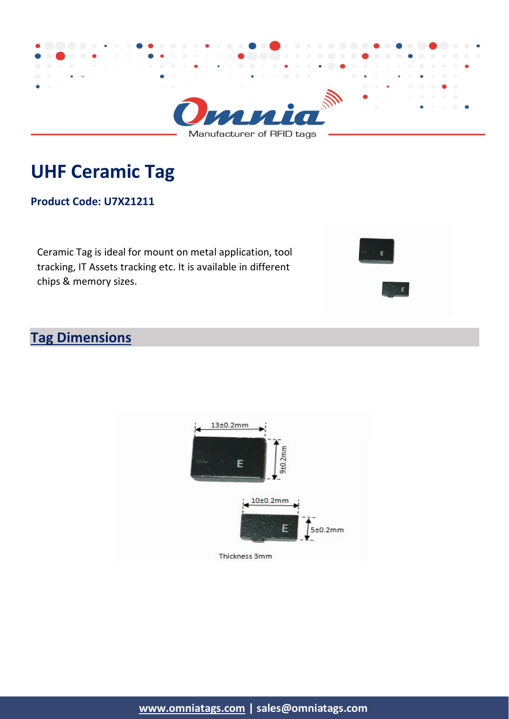

# **UHF Ceramic Tag**

#### **Product Code: U7X21211**

Ceramic Tag is ideal for mount on metal application, tool tracking, IT Assets tracking etc. It is available in different chips & memory sizes.



### **Tag Dimensions**

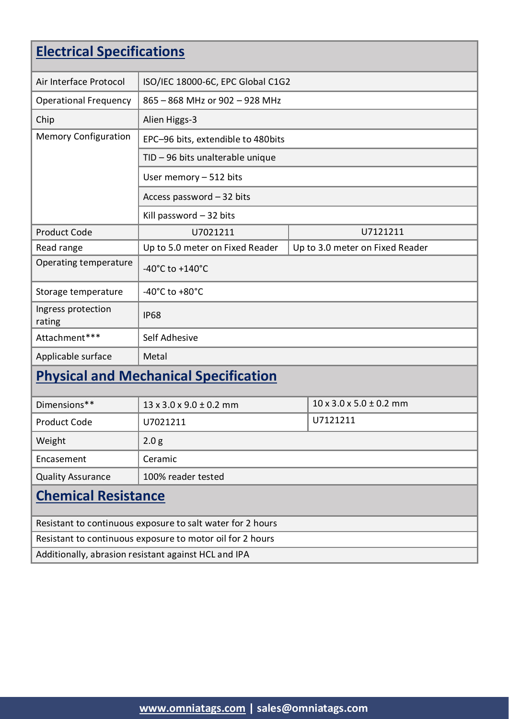| <b>Electrical Specifications</b>                           |                                       |  |                                       |  |  |
|------------------------------------------------------------|---------------------------------------|--|---------------------------------------|--|--|
| Air Interface Protocol                                     | ISO/IEC 18000-6C, EPC Global C1G2     |  |                                       |  |  |
| <b>Operational Frequency</b>                               | 865 - 868 MHz or 902 - 928 MHz        |  |                                       |  |  |
| Chip                                                       | Alien Higgs-3                         |  |                                       |  |  |
| <b>Memory Configuration</b>                                | EPC-96 bits, extendible to 480bits    |  |                                       |  |  |
|                                                            | TID - 96 bits unalterable unique      |  |                                       |  |  |
|                                                            | User memory $-512$ bits               |  |                                       |  |  |
|                                                            | Access password - 32 bits             |  |                                       |  |  |
|                                                            | Kill password $-32$ bits              |  |                                       |  |  |
| <b>Product Code</b>                                        | U7021211                              |  | U7121211                              |  |  |
| Read range                                                 | Up to 5.0 meter on Fixed Reader       |  | Up to 3.0 meter on Fixed Reader       |  |  |
| Operating temperature                                      | $-40^{\circ}$ C to $+140^{\circ}$ C   |  |                                       |  |  |
| Storage temperature                                        | -40 $^{\circ}$ C to +80 $^{\circ}$ C  |  |                                       |  |  |
| Ingress protection<br>rating                               | <b>IP68</b>                           |  |                                       |  |  |
| Attachment***                                              | Self Adhesive                         |  |                                       |  |  |
| Applicable surface                                         | Metal                                 |  |                                       |  |  |
| <b>Physical and Mechanical Specification</b>               |                                       |  |                                       |  |  |
| Dimensions**                                               | $13 \times 3.0 \times 9.0 \pm 0.2$ mm |  | $10 \times 3.0 \times 5.0 \pm 0.2$ mm |  |  |
| <b>Product Code</b>                                        | U7021211                              |  | U7121211                              |  |  |
| Weight                                                     | 2.0 <sub>g</sub>                      |  |                                       |  |  |
| Encasement                                                 | Ceramic                               |  |                                       |  |  |
| <b>Quality Assurance</b>                                   | 100% reader tested                    |  |                                       |  |  |
| <b>Chemical Resistance</b>                                 |                                       |  |                                       |  |  |
| Resistant to continuous exposure to salt water for 2 hours |                                       |  |                                       |  |  |
| Resistant to continuous exposure to motor oil for 2 hours  |                                       |  |                                       |  |  |
| Additionally, abrasion resistant against HCL and IPA       |                                       |  |                                       |  |  |